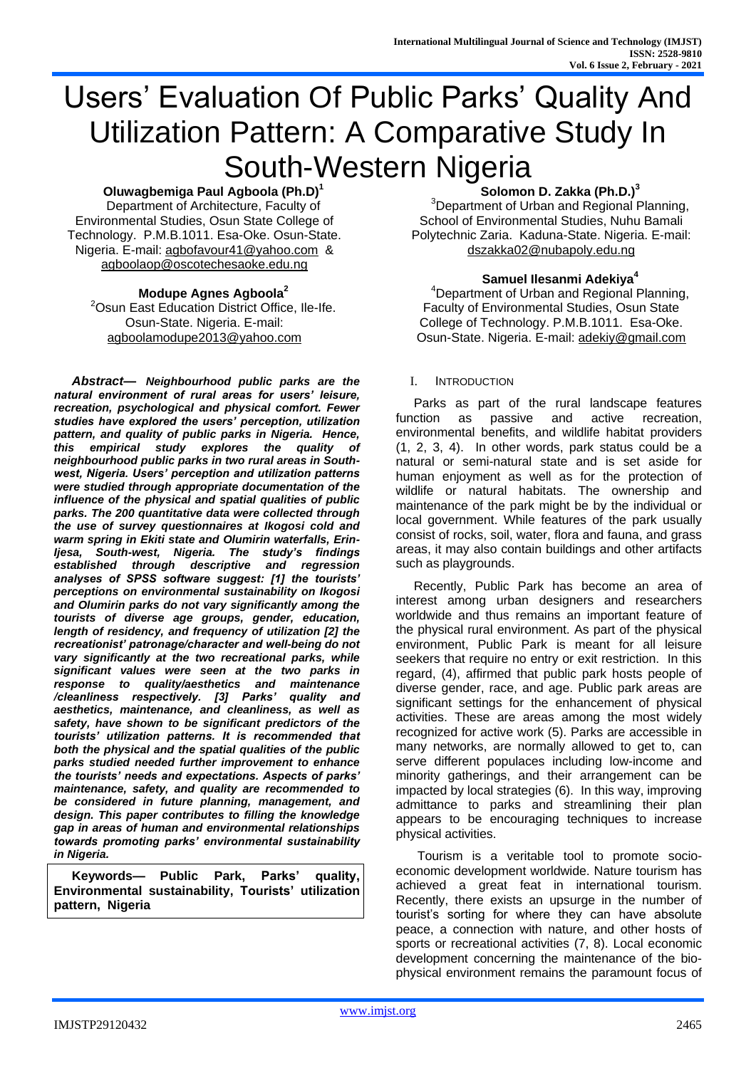# Users' Evaluation Of Public Parks' Quality And Utilization Pattern: A Comparative Study In South-Western Nigeria

### **Oluwagbemiga Paul Agboola (Ph.D)<sup>1</sup>**

Department of Architecture, Faculty of Environmental Studies, Osun State College of Technology. P.M.B.1011. Esa-Oke. Osun-State. Nigeria. E-mail: [agbofavour41@yahoo.com](mailto:agbofavour41@yahoo.com) & [agboolaop@oscotechesaoke.edu.ng](mailto:agboolaop@oscotechesaoke.edu.ng) 

#### **Modupe Agnes Agboola<sup>2</sup>**

<sup>2</sup>Osun East Education District Office, Ile-Ife. Osun-State. Nigeria. E-mail: [agboolamodupe2013@yahoo.com](mailto:agboolamodupe2013@yahoo.com)

*Abstract***—** *Neighbourhood public parks are the natural environment of rural areas for users' leisure, recreation, psychological and physical comfort. Fewer studies have explored the users' perception, utilization pattern, and quality of public parks in Nigeria. Hence, this empirical study explores the quality of neighbourhood public parks in two rural areas in Southwest, Nigeria. Users' perception and utilization patterns were studied through appropriate documentation of the influence of the physical and spatial qualities of public parks. The 200 quantitative data were collected through the use of survey questionnaires at Ikogosi cold and warm spring in Ekiti state and Olumirin waterfalls, Erin-Ijesa, South-west, Nigeria. The study's findings established through descriptive and regression analyses of SPSS software suggest: [1] the tourists' perceptions on environmental sustainability on Ikogosi and Olumirin parks do not vary significantly among the tourists of diverse age groups, gender, education, length of residency, and frequency of utilization [2] the recreationist' patronage/character and well-being do not vary significantly at the two recreational parks, while significant values were seen at the two parks in response to quality/aesthetics and maintenance /cleanliness respectively. [3] Parks' quality and aesthetics, maintenance, and cleanliness, as well as safety, have shown to be significant predictors of the tourists' utilization patterns. It is recommended that both the physical and the spatial qualities of the public parks studied needed further improvement to enhance the tourists' needs and expectations. Aspects of parks' maintenance, safety, and quality are recommended to be considered in future planning, management, and design. This paper contributes to filling the knowledge gap in areas of human and environmental relationships towards promoting parks' environmental sustainability in Nigeria.*

**Keywords— Public Park, Parks' quality, Environmental sustainability, Tourists' utilization pattern, Nigeria**

## **Solomon D. Zakka (Ph.D.)<sup>3</sup>**

<sup>3</sup>Department of Urban and Regional Planning, School of Environmental Studies, Nuhu Bamali Polytechnic Zaria. Kaduna-State. Nigeria. E-mail: [dszakka02@nubapoly.edu.ng](mailto:dszakka02@nubapoly.edu.ng)

#### **Samuel Ilesanmi Adekiya<sup>4</sup>**

<sup>4</sup>Department of Urban and Regional Planning, Faculty of Environmental Studies, Osun State College of Technology. P.M.B.1011. Esa-Oke. Osun-State. Nigeria. E-mail: [adekiy@gmail.com](mailto:adekiy@gmail.com)

#### I. INTRODUCTION

Parks as part of the rural landscape features function as passive and active recreation, environmental benefits, and wildlife habitat providers (1, 2, 3, 4). In other words, park status could be a natural or semi-natural state and is set aside for human enjoyment as well as for the protection of wildlife or natural habitats. The ownership and maintenance of the park might be by the individual or local government. While features of the park usually consist of rocks, soil, water, flora and fauna, and grass areas, it may also contain buildings and other artifacts such as playgrounds.

Recently, Public Park has become an area of interest among urban designers and researchers worldwide and thus remains an important feature of the physical rural environment. As part of the physical environment, Public Park is meant for all leisure seekers that require no entry or exit restriction. In this regard, (4), affirmed that public park hosts people of diverse gender, race, and age. Public park areas are significant settings for the enhancement of physical activities. These are areas among the most widely recognized for active work (5). Parks are accessible in many networks, are normally allowed to get to, can serve different populaces including low-income and minority gatherings, and their arrangement can be impacted by local strategies (6). In this way, improving admittance to parks and streamlining their plan appears to be encouraging techniques to increase physical activities.

Tourism is a veritable tool to promote socioeconomic development worldwide. Nature tourism has achieved a great feat in international tourism. Recently, there exists an upsurge in the number of tourist's sorting for where they can have absolute peace, a connection with nature, and other hosts of sports or recreational activities (7, 8). Local economic development concerning the maintenance of the biophysical environment remains the paramount focus of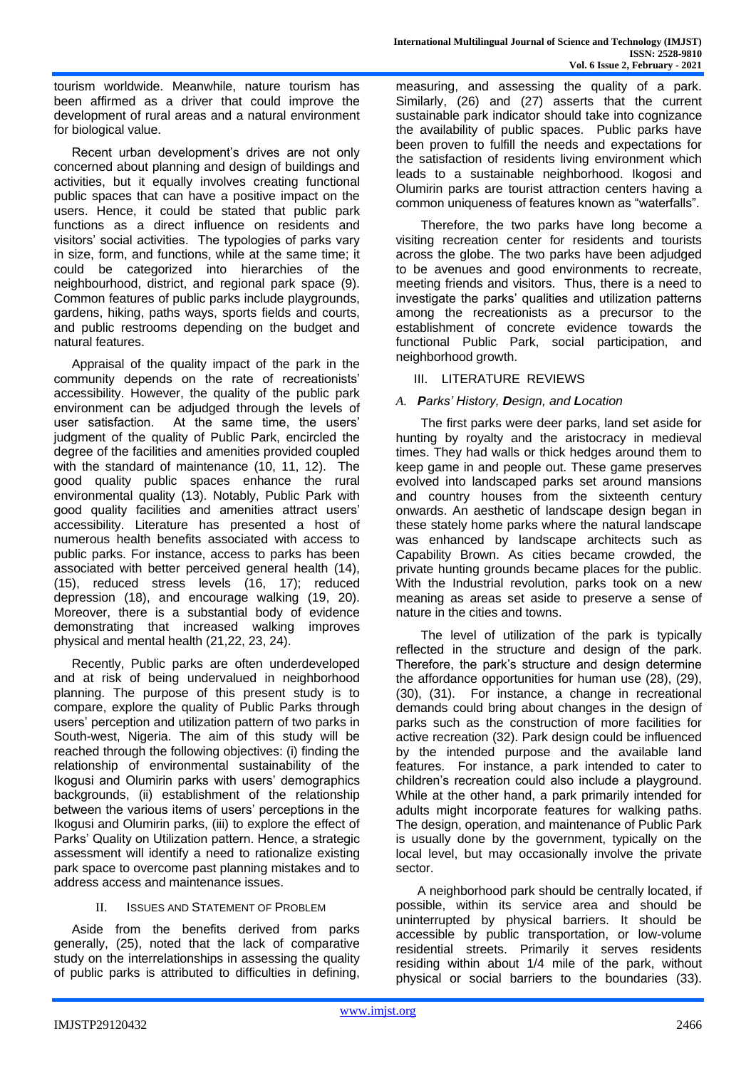tourism worldwide. Meanwhile, nature tourism has been affirmed as a driver that could improve the development of rural areas and a natural environment for biological value.

Recent urban development's drives are not only concerned about planning and design of buildings and activities, but it equally involves creating functional public spaces that can have a positive impact on the users. Hence, it could be stated that public park functions as a direct influence on residents and visitors' social activities. The typologies of parks vary in size, form, and functions, while at the same time; it could be categorized into hierarchies of the neighbourhood, district, and regional park space (9). Common features of public parks include playgrounds, gardens, hiking, paths ways, sports fields and courts, and public restrooms depending on the budget and natural features.

Appraisal of the quality impact of the park in the community depends on the rate of recreationists' accessibility. However, the quality of the public park environment can be adjudged through the levels of user satisfaction. At the same time, the users' judgment of the quality of Public Park, encircled the degree of the facilities and amenities provided coupled with the standard of maintenance (10, 11, 12). The good quality public spaces enhance the rural environmental quality (13). Notably, Public Park with good quality facilities and amenities attract users' accessibility. Literature has presented a host of numerous health benefits associated with access to public parks. For instance, access to parks has been associated with better perceived general health (14), (15), reduced stress levels (16, 17); reduced depression (18), and encourage walking (19, 20). Moreover, there is a substantial body of evidence demonstrating that increased walking improves physical and mental health (21,22, 23, 24).

Recently, Public parks are often underdeveloped and at risk of being undervalued in neighborhood planning. The purpose of this present study is to compare, explore the quality of Public Parks through users' perception and utilization pattern of two parks in South-west, Nigeria. The aim of this study will be reached through the following objectives: (i) finding the relationship of environmental sustainability of the Ikogusi and Olumirin parks with users' demographics backgrounds, (ii) establishment of the relationship between the various items of users' perceptions in the Ikogusi and Olumirin parks, (iii) to explore the effect of Parks' Quality on Utilization pattern. Hence, a strategic assessment will identify a need to rationalize existing park space to overcome past planning mistakes and to address access and maintenance issues.

## II. **ISSUES AND STATEMENT OF PROBLEM**

Aside from the benefits derived from parks generally, (25), noted that the lack of comparative study on the interrelationships in assessing the quality of public parks is attributed to difficulties in defining, measuring, and assessing the quality of a park. Similarly, (26) and (27) asserts that the current sustainable park indicator should take into cognizance the availability of public spaces. Public parks have been proven to fulfill the needs and expectations for the satisfaction of residents living environment which leads to a sustainable neighborhood. Ikogosi and Olumirin parks are tourist attraction centers having a common uniqueness of features known as "waterfalls".

 Therefore, the two parks have long become a visiting recreation center for residents and tourists across the globe. The two parks have been adjudged to be avenues and good environments to recreate, meeting friends and visitors. Thus, there is a need to investigate the parks' qualities and utilization patterns among the recreationists as a precursor to the establishment of concrete evidence towards the functional Public Park, social participation, and neighborhood growth.

#### III. LITERATURE REVIEWS

#### *A. Parks' History, Design, and Location*

 The first parks were deer parks, land set aside for hunting by royalty and the aristocracy in medieval times. They had walls or thick hedges around them to keep game in and people out. These game preserves evolved into landscaped parks set around mansions and country houses from the sixteenth century onwards. An aesthetic of landscape design began in these stately home parks where the natural landscape was enhanced by landscape architects such as Capability Brown. As cities became crowded, the private hunting grounds became places for the public. With the Industrial revolution, parks took on a new meaning as areas set aside to preserve a sense of nature in the cities and towns.

 The level of utilization of the park is typically reflected in the structure and design of the park. Therefore, the park's structure and design determine the affordance opportunities for human use (28), (29), (30), (31). For instance, a change in recreational demands could bring about changes in the design of parks such as the construction of more facilities for active recreation (32). Park design could be influenced by the intended purpose and the available land features. For instance, a park intended to cater to children's recreation could also include a playground. While at the other hand, a park primarily intended for adults might incorporate features for walking paths. The design, operation, and maintenance of Public Park is usually done by the government, typically on the local level, but may occasionally involve the private sector.

A neighborhood park should be centrally located, if possible, within its service area and should be uninterrupted by physical barriers. It should be accessible by public transportation, or low-volume residential streets. Primarily it serves residents residing within about 1/4 mile of the park, without physical or social barriers to the boundaries (33).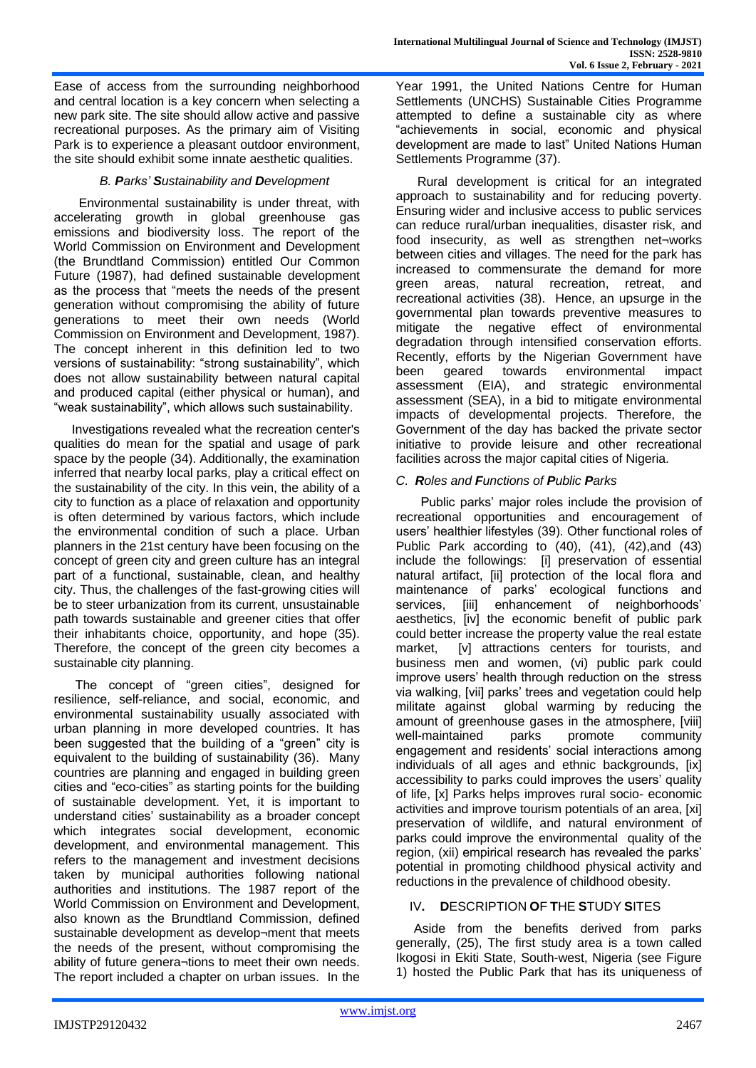Ease of access from the surrounding neighborhood and central location is a key concern when selecting a new park site. The site should allow active and passive recreational purposes. As the primary aim of Visiting Park is to experience a pleasant outdoor environment, the site should exhibit some innate aesthetic qualities.

## *B. Parks' Sustainability and Development*

 Environmental sustainability is under threat, with accelerating growth in global greenhouse gas emissions and biodiversity loss. The report of the World Commission on Environment and Development (the Brundtland Commission) entitled Our Common Future (1987), had defined sustainable development as the process that "meets the needs of the present generation without compromising the ability of future generations to meet their own needs (World Commission on Environment and Development, 1987). The concept inherent in this definition led to two versions of sustainability: "strong sustainability", which does not allow sustainability between natural capital and produced capital (either physical or human), and "weak sustainability", which allows such sustainability.

Investigations revealed what the recreation center's qualities do mean for the spatial and usage of park space by the people (34). Additionally, the examination inferred that nearby local parks, play a critical effect on the sustainability of the city. In this vein, the ability of a city to function as a place of relaxation and opportunity is often determined by various factors, which include the environmental condition of such a place. Urban planners in the 21st century have been focusing on the concept of green city and green culture has an integral part of a functional, sustainable, clean, and healthy city. Thus, the challenges of the fast-growing cities will be to steer urbanization from its current, unsustainable path towards sustainable and greener cities that offer their inhabitants choice, opportunity, and hope (35). Therefore, the concept of the green city becomes a sustainable city planning.

The concept of "green cities", designed for resilience, self-reliance, and social, economic, and environmental sustainability usually associated with urban planning in more developed countries. It has been suggested that the building of a "green" city is equivalent to the building of sustainability (36). Many countries are planning and engaged in building green cities and "eco-cities" as starting points for the building of sustainable development. Yet, it is important to understand cities' sustainability as a broader concept which integrates social development, economic development, and environmental management. This refers to the management and investment decisions taken by municipal authorities following national authorities and institutions. The 1987 report of the World Commission on Environment and Development, also known as the Brundtland Commission, defined sustainable development as develop¬ment that meets the needs of the present, without compromising the ability of future genera¬tions to meet their own needs. The report included a chapter on urban issues. In the

Year 1991, the United Nations Centre for Human Settlements (UNCHS) Sustainable Cities Programme attempted to define a sustainable city as where "achievements in social, economic and physical development are made to last" United Nations Human Settlements Programme (37).

Rural development is critical for an integrated approach to sustainability and for reducing poverty. Ensuring wider and inclusive access to public services can reduce rural/urban inequalities, disaster risk, and food insecurity, as well as strengthen net¬works between cities and villages. The need for the park has increased to commensurate the demand for more green areas, natural recreation, retreat, and recreational activities (38). Hence, an upsurge in the governmental plan towards preventive measures to mitigate the negative effect of environmental degradation through intensified conservation efforts. Recently, efforts by the Nigerian Government have<br>been qeared towards environmental impact been geared towards environmental impact assessment (EIA), and strategic environmental assessment (SEA), in a bid to mitigate environmental impacts of developmental projects. Therefore, the Government of the day has backed the private sector initiative to provide leisure and other recreational facilities across the major capital cities of Nigeria.

## *C. Roles and Functions of Public Parks*

 Public parks' major roles include the provision of recreational opportunities and encouragement of users' healthier lifestyles (39). Other functional roles of Public Park according to (40), (41), (42),and (43) include the followings: [i] preservation of essential natural artifact, [ii] protection of the local flora and maintenance of parks' ecological functions and services. **Iiiil** enhancement of neighborhoods' aesthetics, [iv] the economic benefit of public park could better increase the property value the real estate market. [v] attractions centers for tourists, and business men and women, (vi) public park could improve users' health through reduction on the stress via walking, [vii] parks' trees and vegetation could help militate against global warming by reducing the amount of greenhouse gases in the atmosphere, [viii] well-maintained parks promote community engagement and residents' social interactions among individuals of all ages and ethnic backgrounds, [ix] accessibility to parks could improves the users' quality of life, [x] Parks helps improves rural socio- economic activities and improve tourism potentials of an area, [xi] preservation of wildlife, and natural environment of parks could improve the environmental quality of the region, (xii) empirical research has revealed the parks' potential in promoting childhood physical activity and reductions in the prevalence of childhood obesity.

## IV**. D**ESCRIPTION **O**F **T**HE **S**TUDY **S**ITES

Aside from the benefits derived from parks generally, (25), The first study area is a town called Ikogosi in Ekiti State, South-west, Nigeria (see Figure 1) hosted the Public Park that has its uniqueness of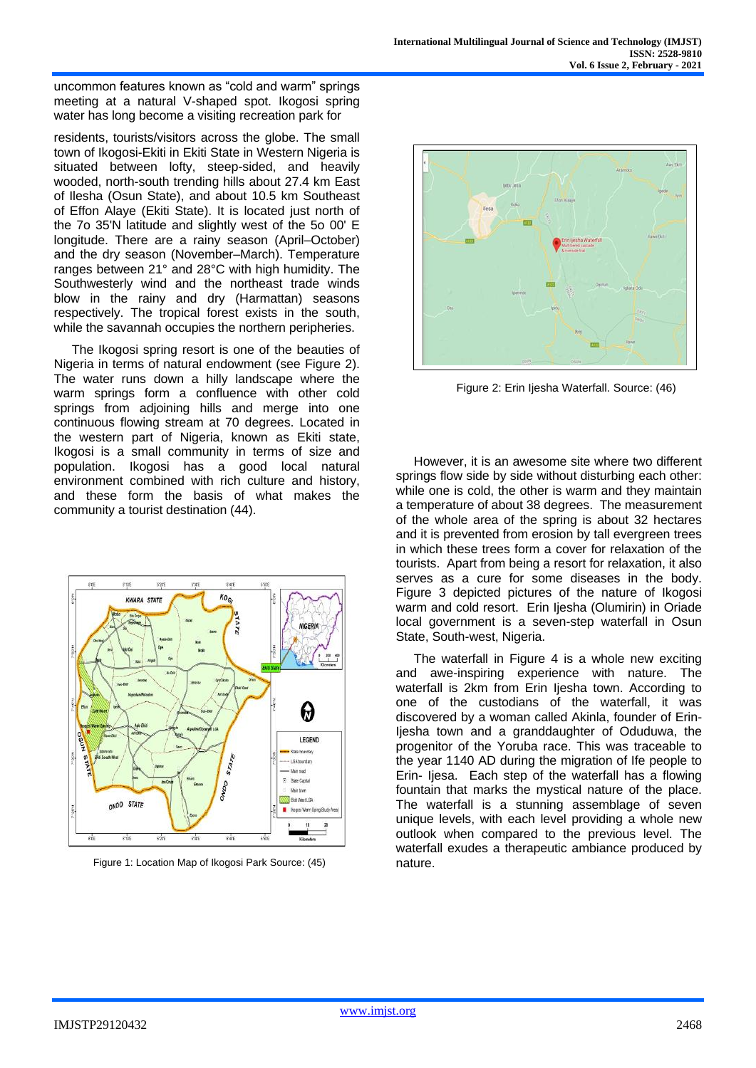uncommon features known as "cold and warm" springs meeting at a natural V-shaped spot. Ikogosi spring water has long become a visiting recreation park for

residents, tourists/visitors across the globe. The small town of Ikogosi-Ekiti in Ekiti State in Western Nigeria is situated between lofty, steep-sided, and heavily wooded, north-south trending hills about 27.4 km East of Ilesha (Osun State), and about 10.5 km Southeast of Effon Alaye (Ekiti State). It is located just north of the 7o 35'N latitude and slightly west of the 5o 00' E longitude. There are a rainy season (April–October) and the dry season (November–March). Temperature ranges between 21° and 28°C with high humidity. The Southwesterly wind and the northeast trade winds blow in the rainy and dry (Harmattan) seasons respectively. The tropical forest exists in the south, while the savannah occupies the northern peripheries.

The Ikogosi spring resort is one of the beauties of Nigeria in terms of natural endowment (see Figure 2). The water runs down a hilly landscape where the warm springs form a confluence with other cold springs from adjoining hills and merge into one continuous flowing stream at 70 degrees. Located in the western part of Nigeria, known as Ekiti state, Ikogosi is a small community in terms of size and population. Ikogosi has a good local natural environment combined with rich culture and history, and these form the basis of what makes the community a tourist destination (44).



Figure 1: Location Map of Ikogosi Park Source: (45) hature.



Figure 2: Erin Ijesha Waterfall. Source: (46)

However, it is an awesome site where two different springs flow side by side without disturbing each other: while one is cold, the other is warm and they maintain a temperature of about 38 degrees. The measurement of the whole area of the spring is about 32 hectares and it is prevented from erosion by tall evergreen trees in which these trees form a cover for relaxation of the tourists. Apart from being a resort for relaxation, it also serves as a cure for some diseases in the body. Figure 3 depicted pictures of the nature of Ikogosi warm and cold resort. Erin Ijesha (Olumirin) in Oriade local government is a seven-step waterfall in Osun State, South-west, Nigeria.

The waterfall in Figure 4 is a whole new exciting and awe-inspiring experience with nature. The waterfall is 2km from Erin Ijesha town. According to one of the custodians of the waterfall, it was discovered by a woman called Akinla, founder of Erin-Ijesha town and a granddaughter of Oduduwa, the progenitor of the Yoruba race. This was traceable to the year 1140 AD during the migration of Ife people to Erin- Ijesa. Each step of the waterfall has a flowing fountain that marks the mystical nature of the place. The waterfall is a stunning assemblage of seven unique levels, with each level providing a whole new outlook when compared to the previous level. The waterfall exudes a therapeutic ambiance produced by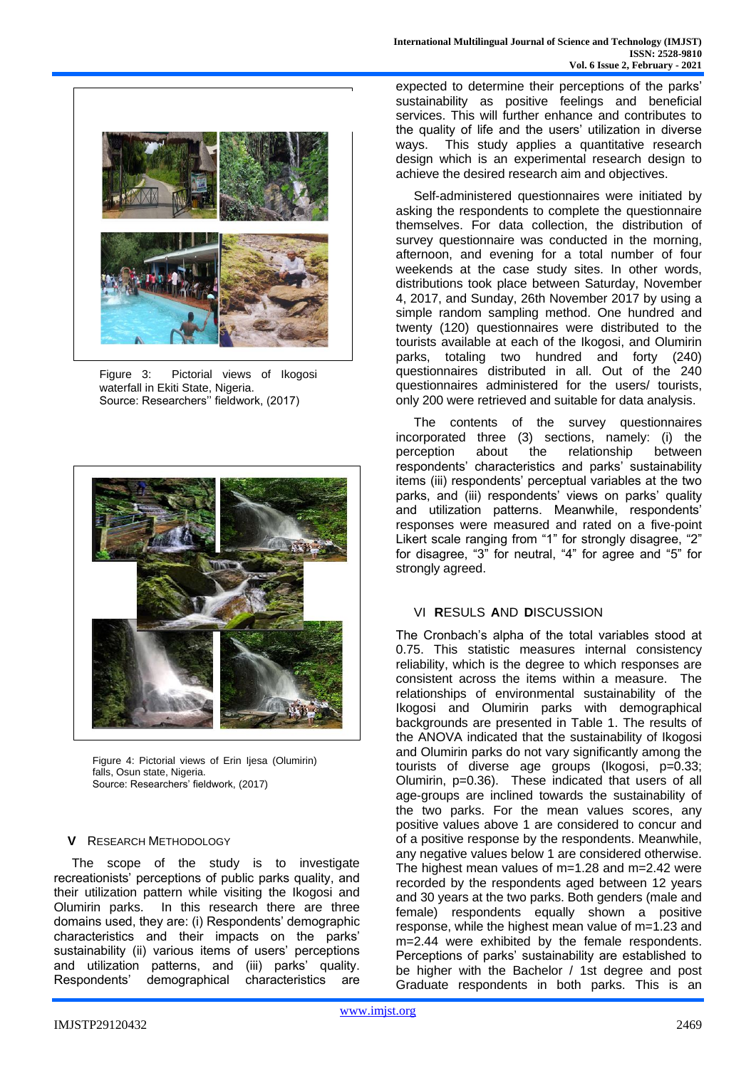

Figure 3: Pictorial views of Ikogosi waterfall in Ekiti State, Nigeria. Source: Researchers'' fieldwork, (2017)



Figure 4: Pictorial views of Erin Ijesa (Olumirin) falls, Osun state, Nigeria. Source: Researchers' fieldwork, (2017)

## **V** RESEARCH METHODOLOGY

The scope of the study is to investigate recreationists' perceptions of public parks quality, and their utilization pattern while visiting the Ikogosi and Olumirin parks. In this research there are three domains used, they are: (i) Respondents' demographic characteristics and their impacts on the parks' sustainability (ii) various items of users' perceptions and utilization patterns, and (iii) parks' quality. Respondents' demographical characteristics are expected to determine their perceptions of the parks' sustainability as positive feelings and beneficial services. This will further enhance and contributes to the quality of life and the users' utilization in diverse ways. This study applies a quantitative research design which is an experimental research design to achieve the desired research aim and objectives.

Self-administered questionnaires were initiated by asking the respondents to complete the questionnaire themselves. For data collection, the distribution of survey questionnaire was conducted in the morning, afternoon, and evening for a total number of four weekends at the case study sites. In other words, distributions took place between Saturday, November 4, 2017, and Sunday, 26th November 2017 by using a simple random sampling method. One hundred and twenty (120) questionnaires were distributed to the tourists available at each of the Ikogosi, and Olumirin parks, totaling two hundred and forty (240) questionnaires distributed in all. Out of the 240 questionnaires administered for the users/ tourists, only 200 were retrieved and suitable for data analysis.

The contents of the survey questionnaires incorporated three (3) sections, namely: (i) the perception about the relationship between respondents' characteristics and parks' sustainability items (iii) respondents' perceptual variables at the two parks, and (iii) respondents' views on parks' quality and utilization patterns. Meanwhile, respondents' responses were measured and rated on a five-point Likert scale ranging from "1" for strongly disagree, "2" for disagree, "3" for neutral, "4" for agree and "5" for strongly agreed.

#### VI **R**ESULS **A**ND **D**ISCUSSION

The Cronbach's alpha of the total variables stood at 0.75. This statistic measures internal consistency reliability, which is the degree to which responses are consistent across the items within a measure. The relationships of environmental sustainability of the Ikogosi and Olumirin parks with demographical backgrounds are presented in Table 1. The results of the ANOVA indicated that the sustainability of Ikogosi and Olumirin parks do not vary significantly among the tourists of diverse age groups (Ikogosi, p=0.33; Olumirin, p=0.36). These indicated that users of all age-groups are inclined towards the sustainability of the two parks. For the mean values scores, any positive values above 1 are considered to concur and of a positive response by the respondents. Meanwhile, any negative values below 1 are considered otherwise. The highest mean values of  $m=1.28$  and  $m=2.42$  were recorded by the respondents aged between 12 years and 30 years at the two parks. Both genders (male and female) respondents equally shown a positive response, while the highest mean value of m=1.23 and m=2.44 were exhibited by the female respondents. Perceptions of parks' sustainability are established to be higher with the Bachelor / 1st degree and post Graduate respondents in both parks. This is an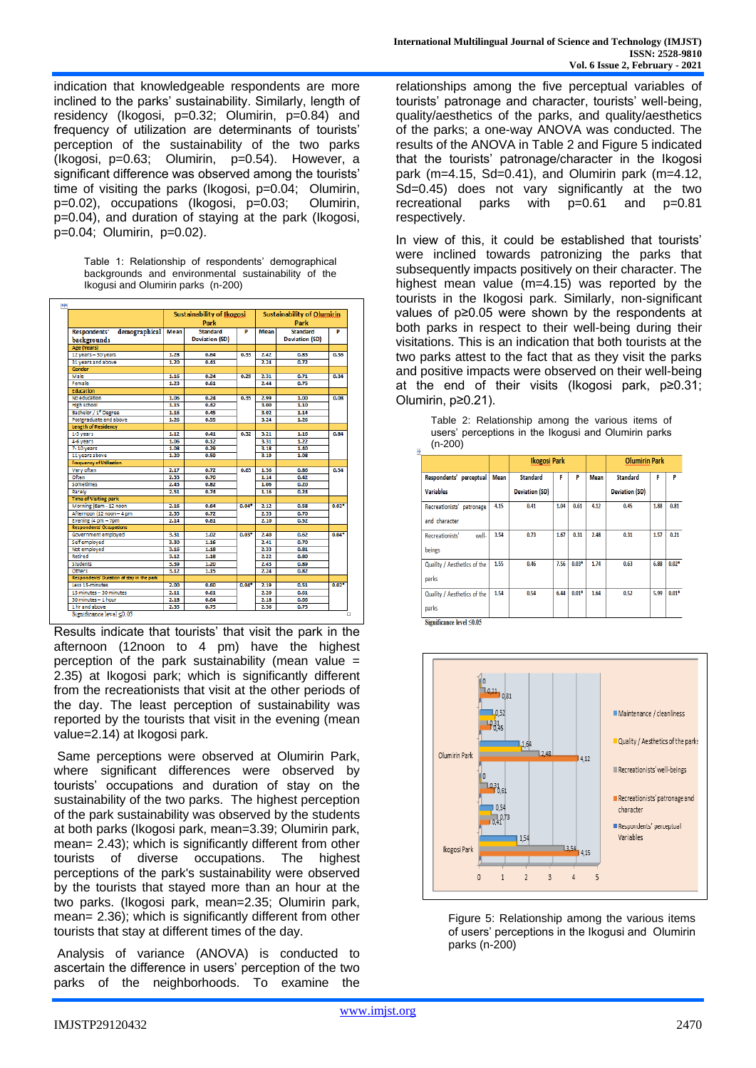indication that knowledgeable respondents are more inclined to the parks' sustainability. Similarly, length of residency (Ikogosi, p=0.32; Olumirin, p=0.84) and frequency of utilization are determinants of tourists' perception of the sustainability of the two parks (Ikogosi, p=0.63; Olumirin, p=0.54). However, a significant difference was observed among the tourists' time of visiting the parks (Ikogosi, p=0.04; Olumirin, p=0.02), occupations (Ikogosi, p=0.03; Olumirin, p=0.04), and duration of staying at the park (Ikogosi, p=0.04; Olumirin, p=0.02).

| Table 1: Relationship of respondents' demographical |  |
|-----------------------------------------------------|--|
| backgrounds and environmental sustainability of the |  |
| Ikogusi and Olumirin parks (n-200)                  |  |



Results indicate that tourists' that visit the park in the afternoon (12noon to 4 pm) have the highest perception of the park sustainability (mean value  $=$ 2.35) at Ikogosi park; which is significantly different from the recreationists that visit at the other periods of the day. The least perception of sustainability was reported by the tourists that visit in the evening (mean value=2.14) at Ikogosi park.

Same perceptions were observed at Olumirin Park, where significant differences were observed by tourists' occupations and duration of stay on the sustainability of the two parks. The highest perception of the park sustainability was observed by the students at both parks (Ikogosi park, mean=3.39; Olumirin park, mean= 2.43); which is significantly different from other tourists of diverse occupations. The highest perceptions of the park's sustainability were observed by the tourists that stayed more than an hour at the two parks. (Ikogosi park, mean=2.35; Olumirin park, mean= 2.36); which is significantly different from other tourists that stay at different times of the day.

Analysis of variance (ANOVA) is conducted to ascertain the difference in users' perception of the two parks of the neighborhoods. To examine the

relationships among the five perceptual variables of tourists' patronage and character, tourists' well-being, quality/aesthetics of the parks, and quality/aesthetics of the parks; a one-way ANOVA was conducted. The results of the ANOVA in Table 2 and Figure 5 indicated that the tourists' patronage/character in the Ikogosi park (m=4.15, Sd=0.41), and Olumirin park (m=4.12, Sd=0.45) does not vary significantly at the two recreational parks with p=0.61 and p=0.81 respectively.

In view of this, it could be established that tourists' were inclined towards patronizing the parks that subsequently impacts positively on their character. The highest mean value (m=4.15) was reported by the tourists in the Ikogosi park. Similarly, non-significant values of p≥0.05 were shown by the respondents at both parks in respect to their well-being during their visitations. This is an indication that both tourists at the two parks attest to the fact that as they visit the parks and positive impacts were observed on their well-being at the end of their visits (Ikogosi park, p≥0.31; Olumirin, p≥0.21).

Table 2: Relationship among the various items of users' perceptions in the Ikogusi and Olumirin parks (n-200)

|                                            |             | <b>Ikogosi Park</b>   |      |         |             | <b>Olumirin Park</b>  |      |         |
|--------------------------------------------|-------------|-----------------------|------|---------|-------------|-----------------------|------|---------|
| Respondents' perceptual                    | <b>Mean</b> | <b>Standard</b>       | F    | P       | <b>Mean</b> | <b>Standard</b>       | F    | P       |
| <b>Variables</b>                           |             | <b>Deviation (SD)</b> |      |         |             | <b>Deviation (SD)</b> |      |         |
| Recreationists' patronage<br>and character | 4.15        | 0.41                  | 1.04 | 0.61    | 4.12        | 0.45                  | 1.88 | 0.81    |
| well-<br>Recreationists'<br>beings         | 3.54        | 0.73                  | 1.67 | 0.31    | 2.48        | 0.31                  | 1.57 | 0.21    |
| Quality / Aesthetics of the<br>parks       | 1.55        | 0.46                  | 7.56 | $0.03*$ | 1.74        | 0.63                  | 6.88 | $0.02*$ |
| Quality / Aesthetics of the<br>parks       | 1.54        | 0.54                  | 6.44 | $0.01*$ | 1.64        | 0.52                  | 5.99 | $0.01*$ |





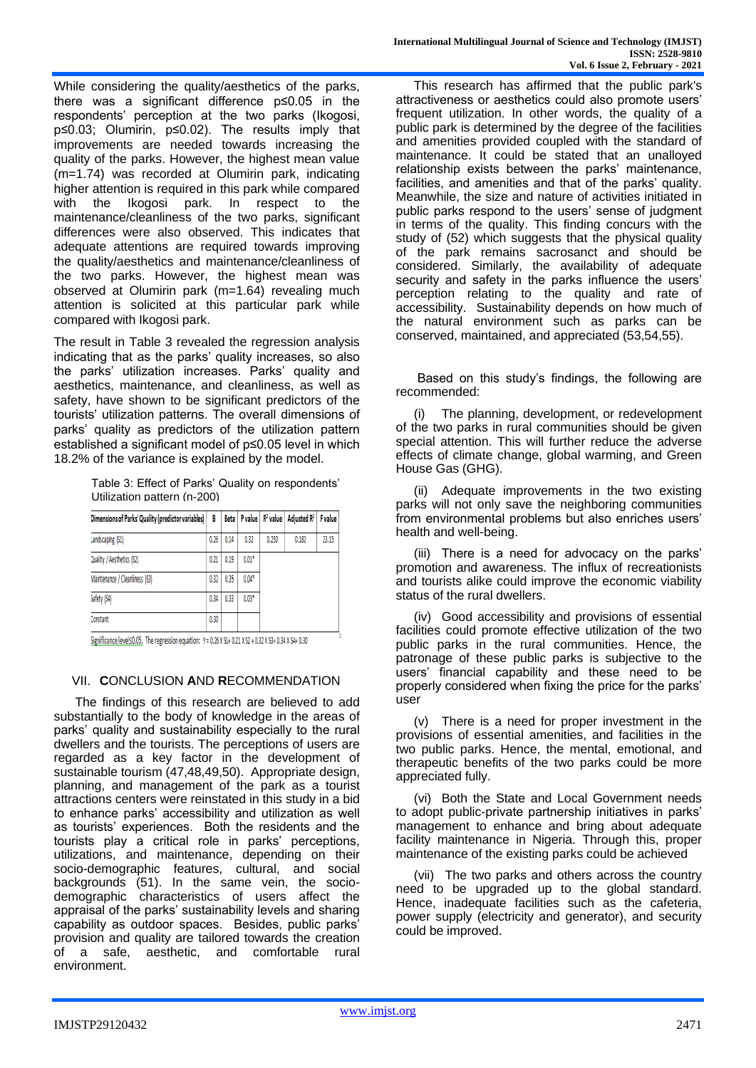While considering the quality/aesthetics of the parks, there was a significant difference p≤0.05 in the respondents' perception at the two parks (Ikogosi, p≤0.03; Olumirin, p≤0.02). The results imply that improvements are needed towards increasing the quality of the parks. However, the highest mean value (m=1.74) was recorded at Olumirin park, indicating higher attention is required in this park while compared with the Ikogosi park. In respect to the maintenance/cleanliness of the two parks, significant differences were also observed. This indicates that adequate attentions are required towards improving the quality/aesthetics and maintenance/cleanliness of the two parks. However, the highest mean was observed at Olumirin park (m=1.64) revealing much attention is solicited at this particular park while compared with Ikogosi park.

The result in Table 3 revealed the regression analysis indicating that as the parks' quality increases, so also the parks' utilization increases. Parks' quality and aesthetics, maintenance, and cleanliness, as well as safety, have shown to be significant predictors of the tourists' utilization patterns. The overall dimensions of parks' quality as predictors of the utilization pattern established a significant model of p≤0.05 level in which 18.2% of the variance is explained by the model.

Table 3: Effect of Parks' Quality on respondents' Utilization pattern (n-200)

| B    |                                                    |         |       | Adjusted $\mathbb{R}^2$ | <b>F</b> value                    |
|------|----------------------------------------------------|---------|-------|-------------------------|-----------------------------------|
| 0.26 | 0.14                                               | 0.32    | 0.250 | 0.182                   | 23.15                             |
| 0.21 | 0.19                                               | $0.01*$ |       |                         |                                   |
| 0.32 | 0.35                                               | $0.04*$ |       |                         |                                   |
| 0.34 | 0.33                                               | $0.03*$ |       |                         |                                   |
| 0.30 |                                                    |         |       |                         |                                   |
|      | Dimensions of Parks' Quality (predictor variables) |         | Beta  |                         | P value $\ $ R <sup>2</sup> value |

Significance level $\leq$ 0.05. The regression equation: Y = 0.26 X S1+ 0.21 X S2 + 0.32 X S3+ 0.34 X S4+ 0.30

## VII. **C**ONCLUSION **A**ND **R**ECOMMENDATION

The findings of this research are believed to add substantially to the body of knowledge in the areas of parks' quality and sustainability especially to the rural dwellers and the tourists. The perceptions of users are regarded as a key factor in the development of sustainable tourism (47,48,49,50). Appropriate design, planning, and management of the park as a tourist attractions centers were reinstated in this study in a bid to enhance parks' accessibility and utilization as well as tourists' experiences. Both the residents and the tourists play a critical role in parks' perceptions, utilizations, and maintenance, depending on their socio-demographic features, cultural, and social backgrounds (51). In the same vein, the sociodemographic characteristics of users affect the appraisal of the parks' sustainability levels and sharing capability as outdoor spaces. Besides, public parks' provision and quality are tailored towards the creation of a safe, aesthetic, and comfortable rural environment.

This research has affirmed that the public park's attractiveness or aesthetics could also promote users' frequent utilization. In other words, the quality of a public park is determined by the degree of the facilities and amenities provided coupled with the standard of maintenance. It could be stated that an unalloyed relationship exists between the parks' maintenance, facilities, and amenities and that of the parks' quality. Meanwhile, the size and nature of activities initiated in public parks respond to the users' sense of judgment in terms of the quality. This finding concurs with the study of (52) which suggests that the physical quality of the park remains sacrosanct and should be considered. Similarly, the availability of adequate security and safety in the parks influence the users' perception relating to the quality and rate of accessibility. Sustainability depends on how much of the natural environment such as parks can be conserved, maintained, and appreciated (53,54,55).

Based on this study's findings, the following are recommended:

(i) The planning, development, or redevelopment of the two parks in rural communities should be given special attention. This will further reduce the adverse effects of climate change, global warming, and Green House Gas (GHG).

(ii) Adequate improvements in the two existing parks will not only save the neighboring communities from environmental problems but also enriches users' health and well-being.

(iii) There is a need for advocacy on the parks' promotion and awareness. The influx of recreationists and tourists alike could improve the economic viability status of the rural dwellers.

(iv) Good accessibility and provisions of essential facilities could promote effective utilization of the two public parks in the rural communities. Hence, the patronage of these public parks is subjective to the users' financial capability and these need to be properly considered when fixing the price for the parks' user

(v) There is a need for proper investment in the provisions of essential amenities, and facilities in the two public parks. Hence, the mental, emotional, and therapeutic benefits of the two parks could be more appreciated fully.

(vi) Both the State and Local Government needs to adopt public-private partnership initiatives in parks' management to enhance and bring about adequate facility maintenance in Nigeria. Through this, proper maintenance of the existing parks could be achieved

(vii) The two parks and others across the country need to be upgraded up to the global standard. Hence, inadequate facilities such as the cafeteria, power supply (electricity and generator), and security could be improved.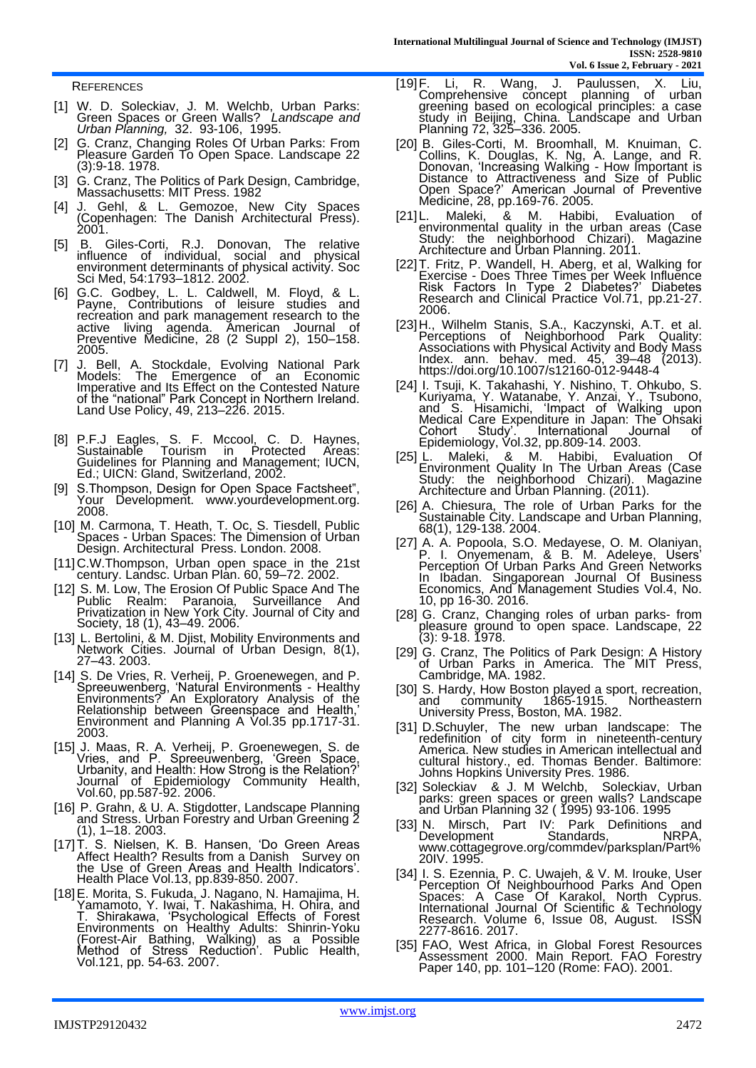**REFERENCES** 

- [1] W. D. Soleckiav, J. M. Welchb, Urban Parks: Green Spaces or Green Walls? *Landscape and Urban Planning,* 32. 93-106, 1995.
- [2] G. Cranz, Changing Roles Of Urban Parks: From Pleasure Garden To Open Space. Landscape 22 (3):9-18. 1978.
- [3] G. Cranz, The Politics of Park Design, Cambridge, Massachusetts: MIT Press. 1982
- [4] J. Gehl, & L. Gemozoe, New City Spaces (Copenhagen: The Danish Architectural Press). 2001.
- [5] B. Giles-Corti, R.J. Donovan, The relative influence of individual, social and physical environment determinants of physical activity. Soc Sci Med, 54:1793–1812. 2002.
- [6] G.C. Godbey, L. L. Caldwell, M. Floyd, & L. Payne, Contributions of leisure studies and recreation and park management research to the active living agenda. American Journal of Preventive Medicine, 28 (2 Suppl 2), 150–158. 2005.
- [7] J. Bell, A. Stockdale, Evolving National Park Models: The Emergence of an Economic Imperative and Its Effect on the Contested Nature of the "national" Park Concept in Northern Ireland. Land Use Policy, 49, 213–226. 2015.
- [8] P.F.J Eagles, S. F. Mccool, C. D. Haynes, Sustainable Tourism in Protected Areas: Guidelines for Planning and Management; IUCN, Ed.; UICN: Gland, Switzerland, 2002.
- [9] S.Thompson, Design for Open Space Factsheet", Your Development. www.yourdevelopment.org. 2008.
- [10] M. Carmona, T. Heath, T. Oc, S. Tiesdell, Public Spaces - Urban Spaces: The Dimension of Urban Design. Architectural Press. London. 2008.
- [11]C.W.Thompson, Urban open space in the 21st century. Landsc. Urban Plan. 60, 59–72. 2002.
- [12] S. M. Low, The Erosion Of Public Space And The Public Realm: Paranoia, Surveillance And Privatization in New York City. Journal of City and Society, 18 (1), 43–49. 2006.
- [13] L. Bertolini, & M. Djist, Mobility Environments and Network Cities. Journal of Urban Design, 8(1), 27–43. 2003.
- [14] S. De Vries, R. Verheij, P. Groenewegen, and P. Spreeuwenberg, 'Natural Environments - Healthy Environments? An Exploratory Analysis of the Relationship between Greenspace and Health,' Environment and Planning A Vol.35 pp.1717-31. 2003.
- [15] J. Maas, R. A. Verheij, P. Groenewegen, S. de Vries, and P. Spreeuwenberg, 'Green Space, Urbanity, and Health: How Strong is the Relation?' Journal of Epidemiology Community Health, Vol.60, pp.587-92. 2006.
- [16] P. Grahn, & U. A. Stigdotter, Landscape Planning and Stress. Urban Forestry and Urban Greening 2 (1), 1–18. 2003.
- [17]T. S. Nielsen, K. B. Hansen, 'Do Green Areas Affect Health? Results from a Danish Survey on the Use of Green Areas and Health Indicators'. Health Place Vol.13, pp.839-850. 2007.
- [18]E. Morita, S. Fukuda, J. Nagano, N. Hamajima, H. Yamamoto, Y. Iwai, T. Nakashima, H. Ohira, and T. Shirakawa, 'Psychological Effects of Forest Environments on Healthy Adults: Shinrin-Yoku (Forest-Air Bathing, Walking) as a Possible Method of Stress Reduction'. Public Health, Vol.121, pp. 54-63. 2007.
- [19]F. Li, R. Wang, J. Paulussen, X. Liu, Comprehensive concept planning of urban greening based on ecological principles: a case study in Beijing, China. Landscape and Urban Planning 72, 325–336. 2005.
- [20] B. Giles-Corti, M. Broomhall, M. Knuiman, C. Collins, K. Douglas, K. Ng, A. Lange, and R. Donovan, 'Increasing Walking - How Important is Distance to Attractiveness and Size of Public Open Space?' American Journal of Preventive Medicine, 28, pp.169-76. 2005.
- [21]L. Maleki, & M. Habibi, Evaluation of environmental quality in the urban areas (Case Study: the neighborhood Chizari). Magazine Architecture and Urban Planning. 2011.
- [22]T. Fritz, P. Wandell, H. Aberg, et al, Walking for Exercise - Does Three Times per Week Influence Risk Factors In Type 2 Diabetes?' Diabetes Research and Clinical Practice Vol.71, pp.21-27. 2006.
- [23]H., Wilhelm Stanis, S.A., Kaczynski, A.T. et al. Perceptions of Neighborhood Park Quality: Associations with Physical Activity and Body Mass Index. ann. behav. med. 45, 39–48 (2013). https://doi.org/10.1007/s12160-012-9448-4
- [24] I. Tsuji, K. Takahashi, Y. Nishino, T. Ohkubo, S. Kuriyama, Y. Watanabe, Y. Anzai, Y., Tsubono, and S. Hisamichi, 'Impact of Walking upon Medical Care Expenditure in Japan: The Ohsaki Cohort Study'. International Journal of Epidemiology, Vol.32, pp.809-14. 2003.
- [25] L. Maleki, & M. Habibi, Evaluation Of Environment Quality In The Urban Areas (Case Study: the neighborhood Chizari). Magazine Architecture and Urban Planning. (2011).
- [26] A. Chiesura, The role of Urban Parks for the Sustainable City. Landscape and Urban Planning, 68(1), 129-138. 2004.
- [27] A. A. Popoola, S.O. Medayese, O. M. Olaniyan, P. I. Onyemenam, & B. M. Adeleye, Users' Perception Of Urban Parks And Green Networks In Ibadan. Singaporean Journal Of Business Economics, And Management Studies Vol.4, No. 10, pp 16-30. 2016.
- [28] G. Cranz, Changing roles of urban parks- from pleasure ground to open space. Landscape, 22 (3): 9-18. 1978.
- [29] G. Cranz, The Politics of Park Design: A History of Urban Parks in America. The MIT Press, Cambridge, MA. 1982.
- [30] S. Hardy, How Boston played a sport, recreation, and community 1865-1915. Northeastern University Press, Boston, MA. 1982.
- [31] D.Schuyler, The new urban landscape: The redefinition of city form in nineteenth-century America. New studies in American intellectual and cultural history., ed. Thomas Bender. Baltimore: Johns Hopkins University Pres. 1986.
- [32] Soleckiav & J. M Welchb, Soleckiav, Urban parks: green spaces or green walls? Landscape and Urban Planning 32 ( 1995) 93-106. 1995
- [33] N. Mirsch, Part IV: Park Definitions and Development Standards, NRPA, www.cottagegrove.org/commdev/parksplan/Part% 20IV. 1995.
- [34] I. S. Ezennia, P. C. Uwajeh, & V. M. Irouke, User Perception Of Neighbourhood Parks And Open Spaces: A Case Of Karakol, North Cyprus. International Journal Of Scientific & Technology Research. Volume 6, Issue 08, August. ISSN 2277-8616. 2017.
- [35] FAO, West Africa, in Global Forest Resources Assessment 2000. Main Report. FAO Forestry Paper 140, pp. 101–120 (Rome: FAO). 2001.